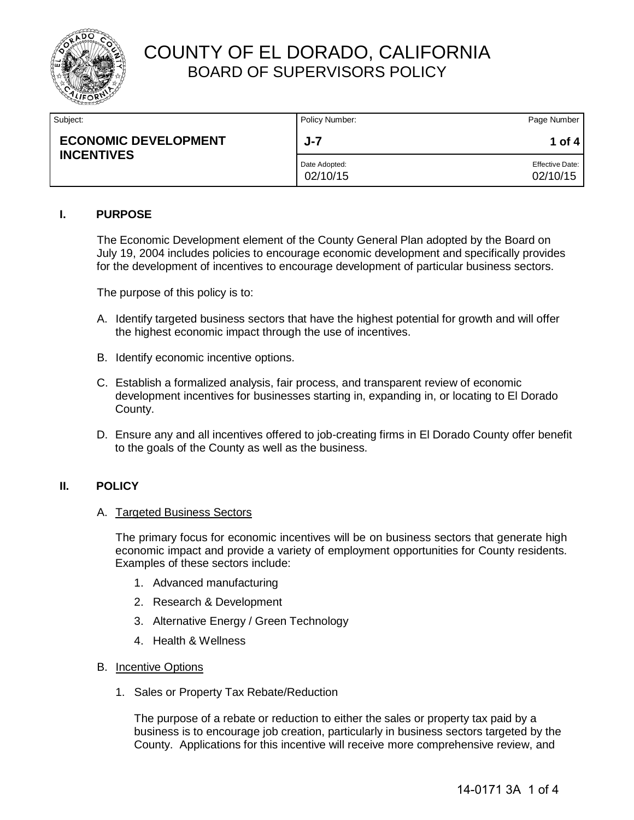

| Subject:                                         | Policy Number:            | Page Number                        |
|--------------------------------------------------|---------------------------|------------------------------------|
| <b>ECONOMIC DEVELOPMENT</b><br><b>INCENTIVES</b> | $J - 7$                   | 1 of 4                             |
|                                                  | Date Adopted:<br>02/10/15 | <b>Effective Date:</b><br>02/10/15 |

### **I. PURPOSE**

The Economic Development element of the County General Plan adopted by the Board on July 19, 2004 includes policies to encourage economic development and specifically provides for the development of incentives to encourage development of particular business sectors.

The purpose of this policy is to:

- A. Identify targeted business sectors that have the highest potential for growth and will offer the highest economic impact through the use of incentives.
- B. Identify economic incentive options.
- C. Establish a formalized analysis, fair process, and transparent review of economic development incentives for businesses starting in, expanding in, or locating to El Dorado County.
- D. Ensure any and all incentives offered to job-creating firms in El Dorado County offer benefit to the goals of the County as well as the business.

#### **II. POLICY**

#### A. Targeted Business Sectors

The primary focus for economic incentives will be on business sectors that generate high economic impact and provide a variety of employment opportunities for County residents. Examples of these sectors include:

- 1. Advanced manufacturing
- 2. Research & Development
- 3. Alternative Energy / Green Technology
- 4. Health & Wellness
- B. Incentive Options
	- 1. Sales or Property Tax Rebate/Reduction

The purpose of a rebate or reduction to either the sales or property tax paid by a business is to encourage job creation, particularly in business sectors targeted by the County. Applications for this incentive will receive more comprehensive review, and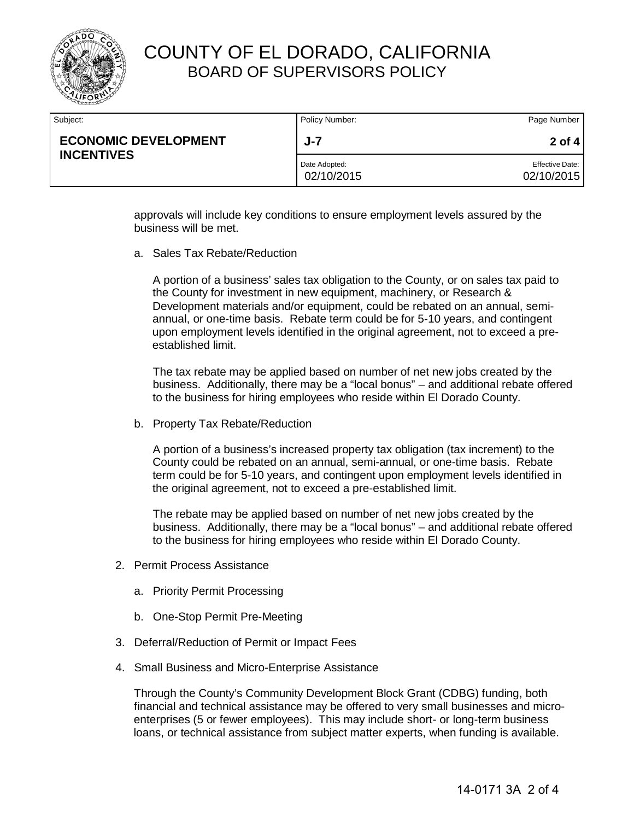

| Subject:                                         | Policy Number:              | Page Number                          |
|--------------------------------------------------|-----------------------------|--------------------------------------|
| <b>ECONOMIC DEVELOPMENT</b><br><b>INCENTIVES</b> | $J - 7$                     | 2 of 4                               |
|                                                  | Date Adopted:<br>02/10/2015 | <b>Effective Date:</b><br>02/10/2015 |

approvals will include key conditions to ensure employment levels assured by the business will be met.

a. Sales Tax Rebate/Reduction

A portion of a business' sales tax obligation to the County, or on sales tax paid to the County for investment in new equipment, machinery, or Research & Development materials and/or equipment, could be rebated on an annual, semiannual, or one-time basis. Rebate term could be for 5-10 years, and contingent upon employment levels identified in the original agreement, not to exceed a preestablished limit.

The tax rebate may be applied based on number of net new jobs created by the business. Additionally, there may be a "local bonus" – and additional rebate offered to the business for hiring employees who reside within El Dorado County.

b. Property Tax Rebate/Reduction

A portion of a business's increased property tax obligation (tax increment) to the County could be rebated on an annual, semi-annual, or one-time basis. Rebate term could be for 5-10 years, and contingent upon employment levels identified in the original agreement, not to exceed a pre-established limit.

The rebate may be applied based on number of net new jobs created by the business. Additionally, there may be a "local bonus" – and additional rebate offered to the business for hiring employees who reside within El Dorado County.

- 2. Permit Process Assistance
	- a. Priority Permit Processing
	- b. One-Stop Permit Pre-Meeting
- 3. Deferral/Reduction of Permit or Impact Fees
- 4. Small Business and Micro-Enterprise Assistance

Through the County's Community Development Block Grant (CDBG) funding, both financial and technical assistance may be offered to very small businesses and microenterprises (5 or fewer employees). This may include short- or long-term business loans, or technical assistance from subject matter experts, when funding is available.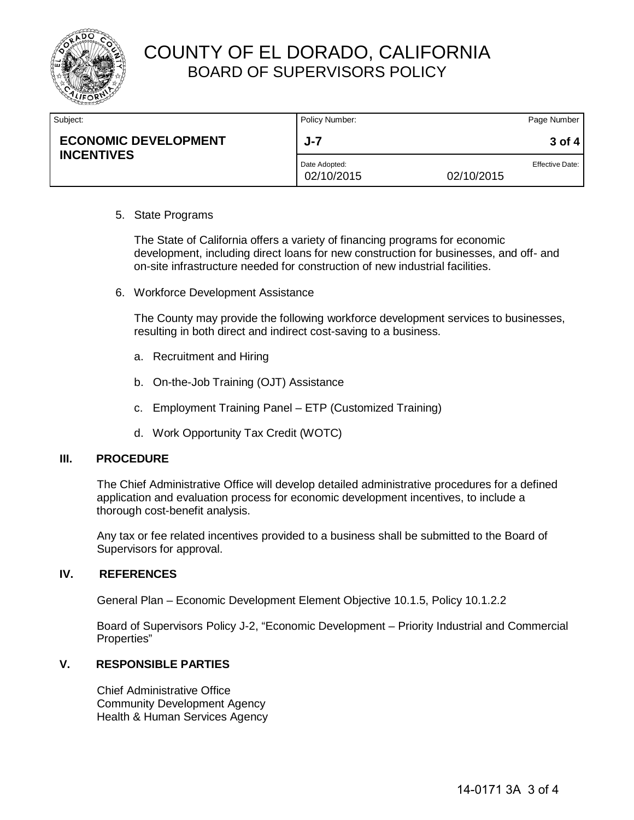

| Subject:                                         | Policy Number:              |            | Page Number            |
|--------------------------------------------------|-----------------------------|------------|------------------------|
| <b>ECONOMIC DEVELOPMENT</b><br><b>INCENTIVES</b> | $J - 7$                     |            | $3$ of 4               |
|                                                  | Date Adopted:<br>02/10/2015 | 02/10/2015 | <b>Effective Date:</b> |

#### 5. State Programs

The State of California offers a variety of financing programs for economic development, including direct loans for new construction for businesses, and off- and on-site infrastructure needed for construction of new industrial facilities.

6. Workforce Development Assistance

The County may provide the following workforce development services to businesses, resulting in both direct and indirect cost-saving to a business.

- a. Recruitment and Hiring
- b. On-the-Job Training (OJT) Assistance
- c. Employment Training Panel ETP (Customized Training)
- d. Work Opportunity Tax Credit (WOTC)

#### **III. PROCEDURE**

The Chief Administrative Office will develop detailed administrative procedures for a defined application and evaluation process for economic development incentives, to include a thorough cost-benefit analysis.

Any tax or fee related incentives provided to a business shall be submitted to the Board of Supervisors for approval.

#### **IV. REFERENCES**

General Plan – Economic Development Element Objective 10.1.5, Policy 10.1.2.2

Board of Supervisors Policy J-2, "Economic Development – Priority Industrial and Commercial Properties"

### **V. RESPONSIBLE PARTIES**

Chief Administrative Office Community Development Agency Health & Human Services Agency